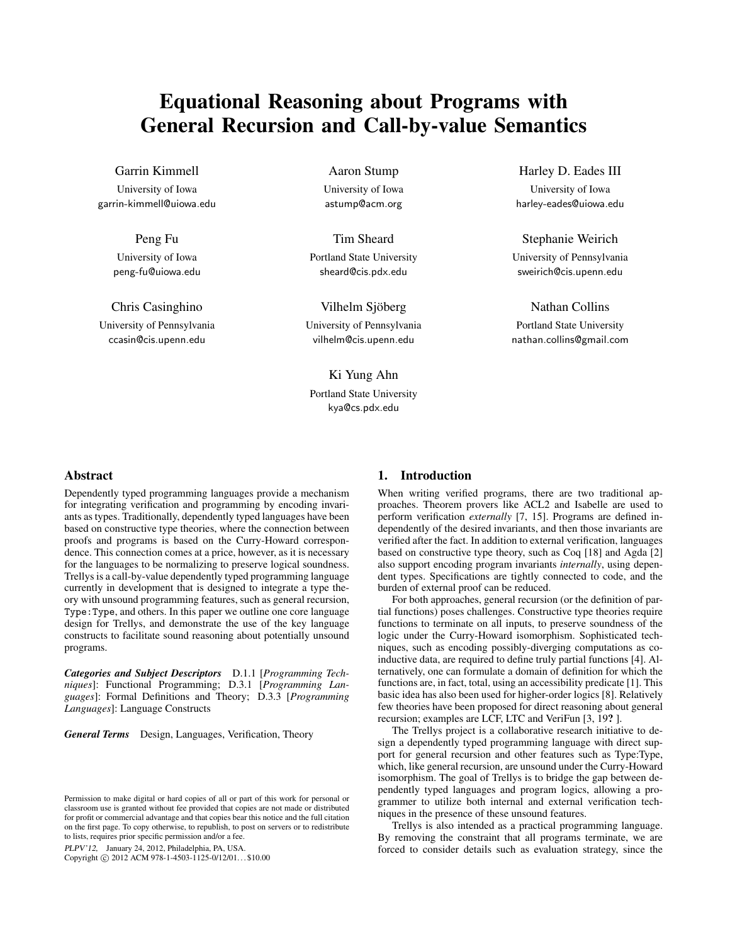# Equational Reasoning about Programs with General Recursion and Call-by-value Semantics

Garrin Kimmell

University of Iowa garrin-kimmell@uiowa.edu

> Peng Fu University of Iowa peng-fu@uiowa.edu

Chris Casinghino University of Pennsylvania ccasin@cis.upenn.edu

Aaron Stump University of Iowa astump@acm.org

Tim Sheard Portland State University sheard@cis.pdx.edu

Vilhelm Sjöberg University of Pennsylvania vilhelm@cis.upenn.edu

Ki Yung Ahn Portland State University kya@cs.pdx.edu

Harley D. Eades III

University of Iowa harley-eades@uiowa.edu

Stephanie Weirich University of Pennsylvania sweirich@cis.upenn.edu

Nathan Collins Portland State University nathan.collins@gmail.com

# Abstract

Dependently typed programming languages provide a mechanism for integrating verification and programming by encoding invariants as types. Traditionally, dependently typed languages have been based on constructive type theories, where the connection between proofs and programs is based on the Curry-Howard correspondence. This connection comes at a price, however, as it is necessary for the languages to be normalizing to preserve logical soundness. Trellys is a call-by-value dependently typed programming language currently in development that is designed to integrate a type theory with unsound programming features, such as general recursion, Type:Type, and others. In this paper we outline one core language design for Trellys, and demonstrate the use of the key language constructs to facilitate sound reasoning about potentially unsound programs.

*Categories and Subject Descriptors* D.1.1 [*Programming Techniques*]: Functional Programming; D.3.1 [*Programming Languages*]: Formal Definitions and Theory; D.3.3 [*Programming Languages*]: Language Constructs

*General Terms* Design, Languages, Verification, Theory

PLPV'12, January 24, 2012, Philadelphia, PA, USA.

Copyright © 2012 ACM 978-1-4503-1125-0/12/01... \$10.00

## 1. Introduction

When writing verified programs, there are two traditional approaches. Theorem provers like ACL2 and Isabelle are used to perform verification *externally* [7, 15]. Programs are defined independently of the desired invariants, and then those invariants are verified after the fact. In addition to external verification, languages based on constructive type theory, such as Coq [18] and Agda [2] also support encoding program invariants *internally*, using dependent types. Specifications are tightly connected to code, and the burden of external proof can be reduced.

For both approaches, general recursion (or the definition of partial functions) poses challenges. Constructive type theories require functions to terminate on all inputs, to preserve soundness of the logic under the Curry-Howard isomorphism. Sophisticated techniques, such as encoding possibly-diverging computations as coinductive data, are required to define truly partial functions [4]. Alternatively, one can formulate a domain of definition for which the functions are, in fact, total, using an accessibility predicate [1]. This basic idea has also been used for higher-order logics [8]. Relatively few theories have been proposed for direct reasoning about general recursion; examples are LCF, LTC and VeriFun [3, 19? ].

The Trellys project is a collaborative research initiative to design a dependently typed programming language with direct support for general recursion and other features such as Type:Type, which, like general recursion, are unsound under the Curry-Howard isomorphism. The goal of Trellys is to bridge the gap between dependently typed languages and program logics, allowing a programmer to utilize both internal and external verification techniques in the presence of these unsound features.

Trellys is also intended as a practical programming language. By removing the constraint that all programs terminate, we are forced to consider details such as evaluation strategy, since the

Permission to make digital or hard copies of all or part of this work for personal or classroom use is granted without fee provided that copies are not made or distributed for profit or commercial advantage and that copies bear this notice and the full citation on the first page. To copy otherwise, to republish, to post on servers or to redistribute to lists, requires prior specific permission and/or a fee.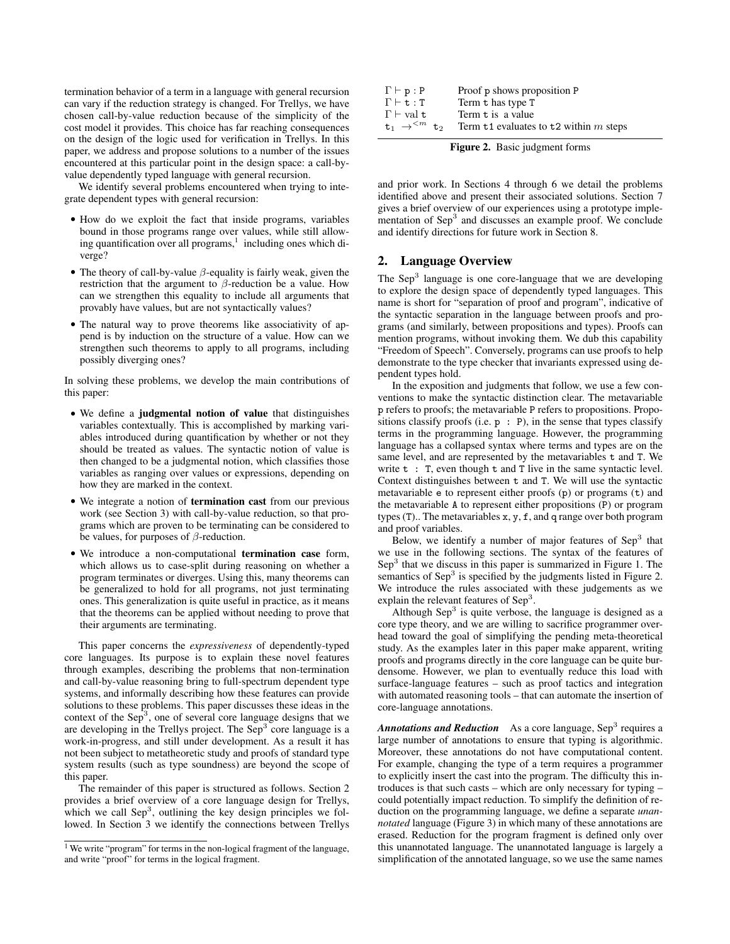termination behavior of a term in a language with general recursion can vary if the reduction strategy is changed. For Trellys, we have chosen call-by-value reduction because of the simplicity of the cost model it provides. This choice has far reaching consequences on the design of the logic used for verification in Trellys. In this paper, we address and propose solutions to a number of the issues encountered at this particular point in the design space: a call-byvalue dependently typed language with general recursion.

We identify several problems encountered when trying to integrate dependent types with general recursion:

- How do we exploit the fact that inside programs, variables bound in those programs range over values, while still allowing quantification over all programs,<sup>1</sup> including ones which diverge?
- The theory of call-by-value  $\beta$ -equality is fairly weak, given the restriction that the argument to  $\beta$ -reduction be a value. How can we strengthen this equality to include all arguments that provably have values, but are not syntactically values?
- The natural way to prove theorems like associativity of append is by induction on the structure of a value. How can we strengthen such theorems to apply to all programs, including possibly diverging ones?

In solving these problems, we develop the main contributions of this paper:

- We define a judgmental notion of value that distinguishes variables contextually. This is accomplished by marking variables introduced during quantification by whether or not they should be treated as values. The syntactic notion of value is then changed to be a judgmental notion, which classifies those variables as ranging over values or expressions, depending on how they are marked in the context.
- We integrate a notion of termination cast from our previous work (see Section 3) with call-by-value reduction, so that programs which are proven to be terminating can be considered to be values, for purposes of  $\beta$ -reduction.
- We introduce a non-computational termination case form, which allows us to case-split during reasoning on whether a program terminates or diverges. Using this, many theorems can be generalized to hold for all programs, not just terminating ones. This generalization is quite useful in practice, as it means that the theorems can be applied without needing to prove that their arguments are terminating.

This paper concerns the *expressiveness* of dependently-typed core languages. Its purpose is to explain these novel features through examples, describing the problems that non-termination and call-by-value reasoning bring to full-spectrum dependent type systems, and informally describing how these features can provide solutions to these problems. This paper discusses these ideas in the context of the Sep<sup>3</sup>, one of several core language designs that we are developing in the Trellys project. The Sep<sup>3</sup> core language is a work-in-progress, and still under development. As a result it has not been subject to metatheoretic study and proofs of standard type system results (such as type soundness) are beyond the scope of this paper.

The remainder of this paper is structured as follows. Section 2 provides a brief overview of a core language design for Trellys, which we call  $\text{Sep}^3$ , outlining the key design principles we followed. In Section 3 we identify the connections between Trellys

| $\Gamma \vdash p : P$                    | Proof p shows proposition P            |
|------------------------------------------|----------------------------------------|
| $\Gamma \vdash t : T$                    | Term t has type T                      |
| $\Gamma \vdash \mathrm{val}\ \mathtt{t}$ | Term t is a value                      |
| $t_1 \rightarrow <^{m} t_2$              | Term t1 evaluates to t2 within m steps |
|                                          |                                        |

Figure 2. Basic judgment forms

and prior work. In Sections 4 through 6 we detail the problems identified above and present their associated solutions. Section 7 gives a brief overview of our experiences using a prototype implementation of Sep<sup>3</sup> and discusses an example proof. We conclude and identify directions for future work in Section 8.

# 2. Language Overview

The  $Sep<sup>3</sup>$  language is one core-language that we are developing to explore the design space of dependently typed languages. This name is short for "separation of proof and program", indicative of the syntactic separation in the language between proofs and programs (and similarly, between propositions and types). Proofs can mention programs, without invoking them. We dub this capability "Freedom of Speech". Conversely, programs can use proofs to help demonstrate to the type checker that invariants expressed using dependent types hold.

In the exposition and judgments that follow, we use a few conventions to make the syntactic distinction clear. The metavariable p refers to proofs; the metavariable P refers to propositions. Propositions classify proofs (i.e.  $p : P$ ), in the sense that types classify terms in the programming language. However, the programming language has a collapsed syntax where terms and types are on the same level, and are represented by the metavariables t and T. We write  $t : T$ , even though  $t$  and  $T$  live in the same syntactic level. Context distinguishes between t and T. We will use the syntactic metavariable e to represent either proofs (p) or programs (t) and the metavariable A to represent either propositions (P) or program types (T).. The metavariables x, y, f, and q range over both program and proof variables.

Below, we identify a number of major features of  $\text{Sep}^3$  that we use in the following sections. The syntax of the features of Sep<sup>3</sup> that we discuss in this paper is summarized in Figure 1. The semantics of  $\text{Sep}^3$  is specified by the judgments listed in Figure 2. We introduce the rules associated with these judgements as we explain the relevant features of Sep<sup>3</sup>.

Although  $\text{Sep}^3$  is quite verbose, the language is designed as a core type theory, and we are willing to sacrifice programmer overhead toward the goal of simplifying the pending meta-theoretical study. As the examples later in this paper make apparent, writing proofs and programs directly in the core language can be quite burdensome. However, we plan to eventually reduce this load with surface-language features – such as proof tactics and integration with automated reasoning tools – that can automate the insertion of core-language annotations.

Annotations and Reduction As a core language, Sep<sup>3</sup> requires a large number of annotations to ensure that typing is algorithmic. Moreover, these annotations do not have computational content. For example, changing the type of a term requires a programmer to explicitly insert the cast into the program. The difficulty this introduces is that such casts – which are only necessary for typing – could potentially impact reduction. To simplify the definition of reduction on the programming language, we define a separate *unannotated* language (Figure 3) in which many of these annotations are erased. Reduction for the program fragment is defined only over this unannotated language. The unannotated language is largely a simplification of the annotated language, so we use the same names

<sup>&</sup>lt;sup>1</sup> We write "program" for terms in the non-logical fragment of the language, and write "proof" for terms in the logical fragment.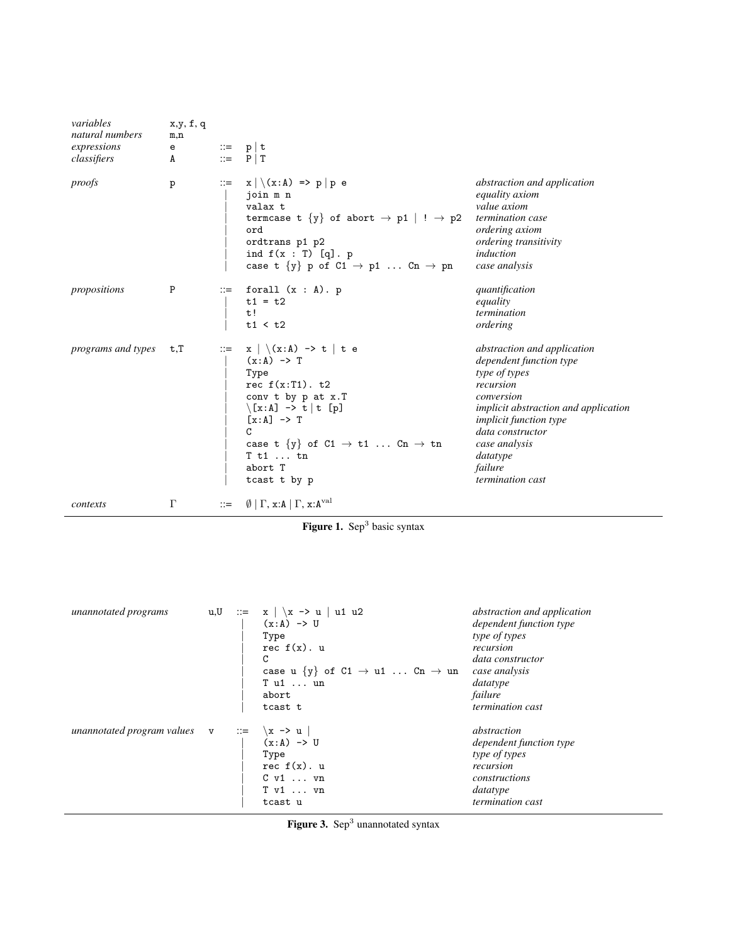| variables<br>natural numbers<br>expressions<br>classifiers | x,y, f, q<br>m,n<br>е<br>A | $\mathbf{r} =$            | p   t<br>P   T                                                                                                                                                                                                                                                                                                       |                                                                                                                                                                                                                                                                    |
|------------------------------------------------------------|----------------------------|---------------------------|----------------------------------------------------------------------------------------------------------------------------------------------------------------------------------------------------------------------------------------------------------------------------------------------------------------------|--------------------------------------------------------------------------------------------------------------------------------------------------------------------------------------------------------------------------------------------------------------------|
| proofs                                                     | p                          | $\mathrel{\mathop:}=$     | $x \mid \setminus (x:A) \implies p \mid p \in \mathbb{R}$<br>join m n<br>valax t<br>termcase t $\{y\}$ of abort $\rightarrow$ p1   ! $\rightarrow$ p2<br>ord<br>ordtrans p1 p2<br>ind $f(x : T) [q]$ . p<br>case t $\{y\}$ p of $C1 \rightarrow p1$ $Cn \rightarrow pn$                                              | abstraction and application<br><i>equality axiom</i><br>value axiom<br>termination case<br><i>ordering axiom</i><br>ordering transitivity<br>induction<br>case analysis                                                                                            |
| propositions                                               | P                          | $\mathbb{C} = \square$    | forall $(x : A)$ . p<br>$t1 = t2$<br>t!<br>t1 < t2                                                                                                                                                                                                                                                                   | quantification<br>equality<br>termination<br>ordering                                                                                                                                                                                                              |
| programs and types                                         | t,T                        | $\mathbb{C} = \mathbb{C}$ | $x \mid \setminus (x:A) \rightarrow t \mid t \in$<br>$(x:A) \rightarrow T$<br>Type<br>rec $f(x:T1)$ . t2<br>conv t by p at x.T<br>$\langle [x:A] \rightarrow t   t [p] \rangle$<br>$[x:A] \rightarrow T$<br>C<br>case t $\{y\}$ of C1 $\rightarrow$ t1  Cn $\rightarrow$ tn<br>$T$ t1  tn<br>abort T<br>tcast t by p | abstraction and application<br>dependent function type<br>type of types<br>recursion<br>conversion<br><i>implicit abstraction and application</i><br><i>implicit function type</i><br>data constructor<br>case analysis<br>datatype<br>failure<br>termination cast |
| contexts                                                   | $\Gamma$                   | $\mathrel{\mathop:}=$     | $\emptyset$   $\Gamma$ , x:A   $\Gamma$ , x:A <sup>val</sup>                                                                                                                                                                                                                                                         |                                                                                                                                                                                                                                                                    |

Figure 1. Sep<sup>3</sup> basic syntax

| unannotated programs                                 | u,U | $\therefore$ $=$ $x \mid \x \rightarrow x$   u1 u2<br>$(x:A) \rightarrow U$<br>Type<br>rec $f(x)$ . u<br>C<br>case u $\{y\}$ of $C1 \rightarrow u1$ $Cn \rightarrow un$<br>T u1  un<br>abort<br>tcast t | abstraction and application<br>dependent function type<br>type of types<br>recursion<br>data constructor<br>case analysis<br>datatype<br>failure<br>termination cast |
|------------------------------------------------------|-----|---------------------------------------------------------------------------------------------------------------------------------------------------------------------------------------------------------|----------------------------------------------------------------------------------------------------------------------------------------------------------------------|
| unannotated program values $v ::= \{x \rightarrow u$ |     | $(x:A) \rightarrow U$<br>Type<br>rec $f(x)$ . u<br>$C \text{ v1} \dots \text{ vn}$<br>$T$ $v1$ $vn$<br>tcast u                                                                                          | abstraction<br>dependent function type<br>type of types<br>recursion<br>constructions<br>datatype<br>termination cast                                                |

Figure 3. Sep<sup>3</sup> unannotated syntax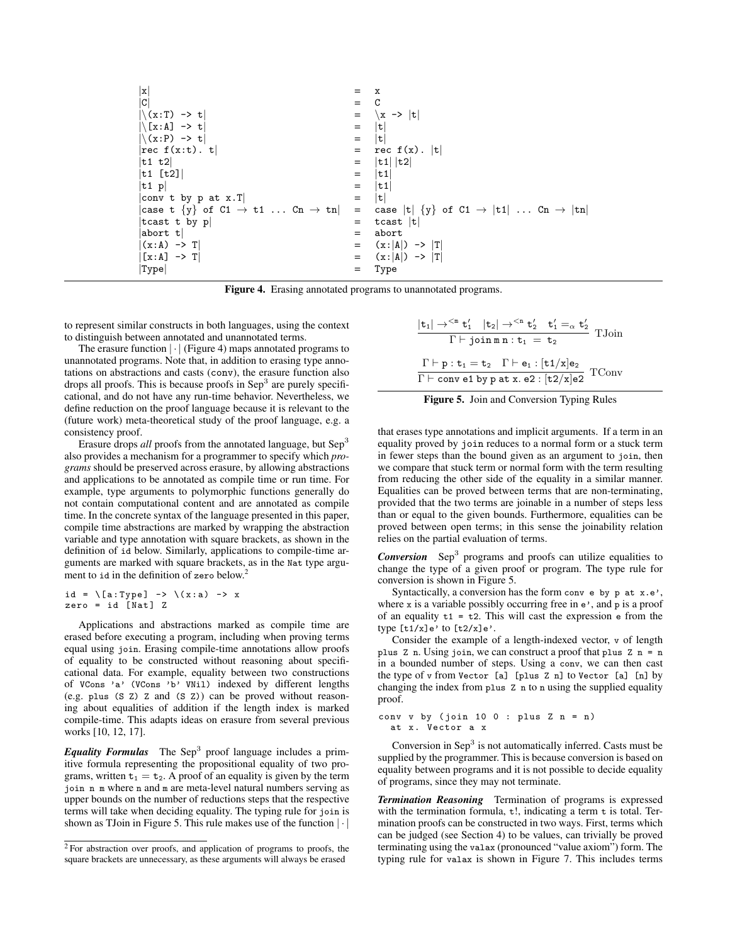| X                                                          |             | x                                                               |
|------------------------------------------------------------|-------------|-----------------------------------------------------------------|
| $\mathtt{C}$                                               | $=$ $\circ$ |                                                                 |
| $ \zeta(x:T) \rightarrow t $                               | $\quad =$   | $\vert x \rightarrow \vert t \vert$                             |
| $ \xi(x:A] \rightarrow t$                                  | $=$         | $ \mathtt{t} $                                                  |
| $ \zeta(x:P) \rightarrow t $                               | $=$         | t                                                               |
| rec f(x:t). t                                              | $=$         | rec $f(x)$ .  t                                                 |
| t1 t2                                                      |             | t1   t2                                                         |
| t1 [t2]                                                    | $=$         | t1                                                              |
| t1 p                                                       | $=$         | t1                                                              |
| conv t by p at $x.T$                                       | $=$         | $ \mathbf{t} $                                                  |
| case t $\{y\}$ of C1 $\rightarrow$ t1  Cn $\rightarrow$ tn | $=$         | case  t  $\{y\}$ of C1 $\rightarrow$  t1   Cn $\rightarrow$  tn |
| tcast t by p                                               | $=$         | tcast $ t $                                                     |
| abort t                                                    |             | abort                                                           |
| $(x:A) \rightarrow T$                                      | $=$         | $(x: A ) \rightarrow  T $                                       |
| $[x:A] \rightarrow T$                                      | $=$         | $(x: A ) \rightarrow  T $                                       |
| $ \mathtt{Type} $                                          |             | Type                                                            |

Figure 4. Erasing annotated programs to unannotated programs.

to represent similar constructs in both languages, using the context to distinguish between annotated and unannotated terms.

The erasure function  $|\cdot|$  (Figure 4) maps annotated programs to unannotated programs. Note that, in addition to erasing type annotations on abstractions and casts (conv), the erasure function also drops all proofs. This is because proofs in  $\text{Sep}^3$  are purely specificational, and do not have any run-time behavior. Nevertheless, we define reduction on the proof language because it is relevant to the (future work) meta-theoretical study of the proof language, e.g. a consistency proof.

Erasure drops *all* proofs from the annotated language, but Sep<sup>3</sup> also provides a mechanism for a programmer to specify which *programs* should be preserved across erasure, by allowing abstractions and applications to be annotated as compile time or run time. For example, type arguments to polymorphic functions generally do not contain computational content and are annotated as compile time. In the concrete syntax of the language presented in this paper, compile time abstractions are marked by wrapping the abstraction variable and type annotation with square brackets, as shown in the definition of id below. Similarly, applications to compile-time arguments are marked with square brackets, as in the Nat type argument to id in the definition of zero below.<sup>2</sup>

$$
id = \{a: Type\} \rightarrow \{(x:a) \rightarrow x
$$
  
zero = id [Nat] Z

Applications and abstractions marked as compile time are erased before executing a program, including when proving terms equal using join. Erasing compile-time annotations allow proofs of equality to be constructed without reasoning about specificational data. For example, equality between two constructions of VCons 'a' (VCons 'b' VNil) indexed by different lengths (e.g. plus (S Z) Z and (S Z)) can be proved without reasoning about equalities of addition if the length index is marked compile-time. This adapts ideas on erasure from several previous works [10, 12, 17].

Equality Formulas The Sep<sup>3</sup> proof language includes a primitive formula representing the propositional equality of two programs, written  $t_1 = t_2$ . A proof of an equality is given by the term join n m where n and m are meta-level natural numbers serving as upper bounds on the number of reductions steps that the respective terms will take when deciding equality. The typing rule for join is shown as TJoin in Figure 5. This rule makes use of the function  $|\cdot|$ 

$$
\frac{|\mathbf{t}_1| \rightarrow^{\leq m} \mathbf{t}'_1 \quad |\mathbf{t}_2| \rightarrow^{\leq n} \mathbf{t}'_2 \quad \mathbf{t}'_1 =_\alpha \mathbf{t}'_2}{\Gamma \vdash \text{join } m \mathbf{n} : \mathbf{t}_1 = \mathbf{t}_2} \quad \text{TJoin}
$$
\n
$$
\frac{\Gamma \vdash p : \mathbf{t}_1 = \mathbf{t}_2 \quad \Gamma \vdash \mathbf{e}_1 : [\mathbf{t}_1/\mathbf{x}] \mathbf{e}_2}{\Gamma \vdash \text{conv } \mathbf{e}_1 \mathbf{b} \mathbf{y} \mathbf{p} \mathbf{a} \mathbf{x} \mathbf{a} 2 : [\mathbf{t}_2/\mathbf{x}] \mathbf{e}_2} \quad \text{TConv}
$$



that erases type annotations and implicit arguments. If a term in an equality proved by join reduces to a normal form or a stuck term in fewer steps than the bound given as an argument to join, then we compare that stuck term or normal form with the term resulting from reducing the other side of the equality in a similar manner. Equalities can be proved between terms that are non-terminating, provided that the two terms are joinable in a number of steps less than or equal to the given bounds. Furthermore, equalities can be proved between open terms; in this sense the joinability relation relies on the partial evaluation of terms.

*Conversion* Sep<sup>3</sup> programs and proofs can utilize equalities to change the type of a given proof or program. The type rule for conversion is shown in Figure 5.

Syntactically, a conversion has the form conv e by p at x.e', where  $x$  is a variable possibly occurring free in  $e'$ , and  $p$  is a proof of an equality  $t_1 = t_2$ . This will cast the expression  $e$  from the type  $[t1/x]e'$  to  $[t2/x]e'.$ 

Consider the example of a length-indexed vector, v of length plus  $Z$  n. Using join, we can construct a proof that plus  $Z$  n = n in a bounded number of steps. Using a conv, we can then cast the type of v from Vector [a] [plus Z n] to Vector [a] [n] by changing the index from plus Z n to n using the supplied equality proof.

conv v by (join 10 0 : plus  $Z$  n = n) at x. Vector a x

Conversion in Sep<sup>3</sup> is not automatically inferred. Casts must be supplied by the programmer. This is because conversion is based on equality between programs and it is not possible to decide equality of programs, since they may not terminate.

*Termination Reasoning* Termination of programs is expressed with the termination formula,  $t!$ , indicating a term  $t$  is total. Termination proofs can be constructed in two ways. First, terms which can be judged (see Section 4) to be values, can trivially be proved terminating using the valax (pronounced "value axiom") form. The typing rule for valax is shown in Figure 7. This includes terms

<sup>2</sup> For abstraction over proofs, and application of programs to proofs, the square brackets are unnecessary, as these arguments will always be erased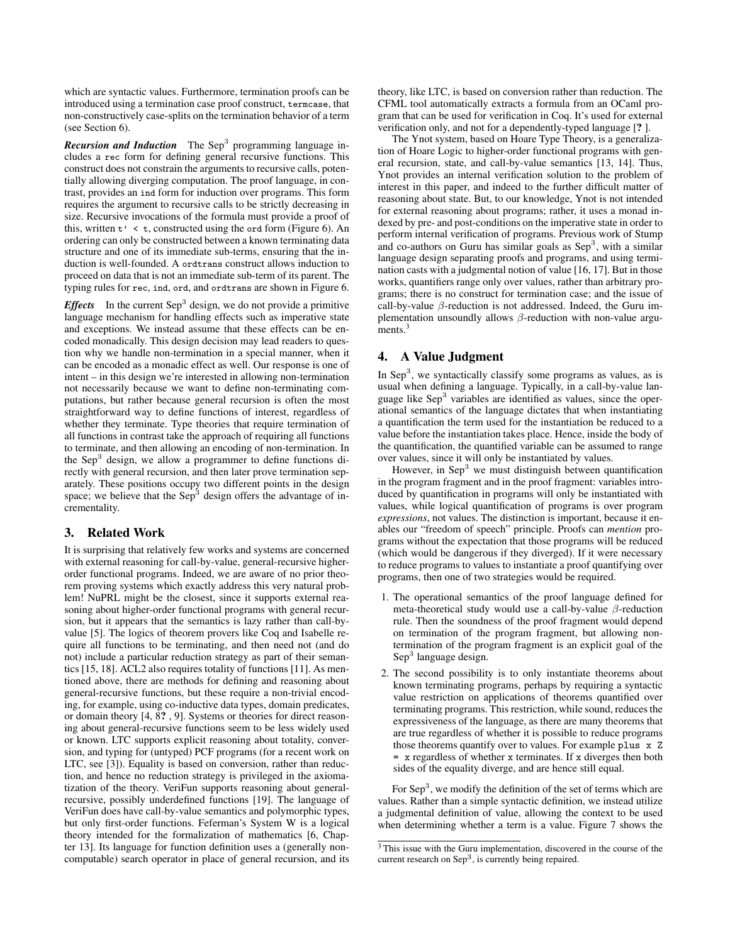which are syntactic values. Furthermore, termination proofs can be introduced using a termination case proof construct, termcase, that non-constructively case-splits on the termination behavior of a term (see Section 6).

**Recursion and Induction** The Sep<sup>3</sup> programming language includes a rec form for defining general recursive functions. This construct does not constrain the arguments to recursive calls, potentially allowing diverging computation. The proof language, in contrast, provides an ind form for induction over programs. This form requires the argument to recursive calls to be strictly decreasing in size. Recursive invocations of the formula must provide a proof of this, written  $t' < t$ , constructed using the ord form (Figure 6). An ordering can only be constructed between a known terminating data structure and one of its immediate sub-terms, ensuring that the induction is well-founded. A ordtrans construct allows induction to proceed on data that is not an immediate sub-term of its parent. The typing rules for rec, ind, ord, and ordtrans are shown in Figure 6.

*Effects* In the current Sep<sup>3</sup> design, we do not provide a primitive language mechanism for handling effects such as imperative state and exceptions. We instead assume that these effects can be encoded monadically. This design decision may lead readers to question why we handle non-termination in a special manner, when it can be encoded as a monadic effect as well. Our response is one of intent – in this design we're interested in allowing non-termination not necessarily because we want to define non-terminating computations, but rather because general recursion is often the most straightforward way to define functions of interest, regardless of whether they terminate. Type theories that require termination of all functions in contrast take the approach of requiring all functions to terminate, and then allowing an encoding of non-termination. In the Sep<sup>3</sup> design, we allow a programmer to define functions directly with general recursion, and then later prove termination separately. These positions occupy two different points in the design space; we believe that the Sep<sup>3</sup> design offers the advantage of incrementality.

#### 3. Related Work

It is surprising that relatively few works and systems are concerned with external reasoning for call-by-value, general-recursive higherorder functional programs. Indeed, we are aware of no prior theorem proving systems which exactly address this very natural problem! NuPRL might be the closest, since it supports external reasoning about higher-order functional programs with general recursion, but it appears that the semantics is lazy rather than call-byvalue [5]. The logics of theorem provers like Coq and Isabelle require all functions to be terminating, and then need not (and do not) include a particular reduction strategy as part of their semantics [15, 18]. ACL2 also requires totality of functions [11]. As mentioned above, there are methods for defining and reasoning about general-recursive functions, but these require a non-trivial encoding, for example, using co-inductive data types, domain predicates, or domain theory [4, 8? , 9]. Systems or theories for direct reasoning about general-recursive functions seem to be less widely used or known. LTC supports explicit reasoning about totality, conversion, and typing for (untyped) PCF programs (for a recent work on LTC, see [3]). Equality is based on conversion, rather than reduction, and hence no reduction strategy is privileged in the axiomatization of the theory. VeriFun supports reasoning about generalrecursive, possibly underdefined functions [19]. The language of VeriFun does have call-by-value semantics and polymorphic types, but only first-order functions. Feferman's System W is a logical theory intended for the formalization of mathematics [6, Chapter 13]. Its language for function definition uses a (generally noncomputable) search operator in place of general recursion, and its

theory, like LTC, is based on conversion rather than reduction. The CFML tool automatically extracts a formula from an OCaml program that can be used for verification in Coq. It's used for external verification only, and not for a dependently-typed language [? ].

The Ynot system, based on Hoare Type Theory, is a generalization of Hoare Logic to higher-order functional programs with general recursion, state, and call-by-value semantics [13, 14]. Thus, Ynot provides an internal verification solution to the problem of interest in this paper, and indeed to the further difficult matter of reasoning about state. But, to our knowledge, Ynot is not intended for external reasoning about programs; rather, it uses a monad indexed by pre- and post-conditions on the imperative state in order to perform internal verification of programs. Previous work of Stump and co-authors on Guru has similar goals as  $Sep<sup>3</sup>$ , with a similar language design separating proofs and programs, and using termination casts with a judgmental notion of value [16, 17]. But in those works, quantifiers range only over values, rather than arbitrary programs; there is no construct for termination case; and the issue of call-by-value  $\beta$ -reduction is not addressed. Indeed, the Guru implementation unsoundly allows  $\beta$ -reduction with non-value arguments.<sup>3</sup>

## 4. A Value Judgment

In Sep<sup>3</sup>, we syntactically classify some programs as values, as is usual when defining a language. Typically, in a call-by-value language like Sep<sup>3</sup> variables are identified as values, since the operational semantics of the language dictates that when instantiating a quantification the term used for the instantiation be reduced to a value before the instantiation takes place. Hence, inside the body of the quantification, the quantified variable can be assumed to range over values, since it will only be instantiated by values.

However, in  $\text{Sep}^3$  we must distinguish between quantification in the program fragment and in the proof fragment: variables introduced by quantification in programs will only be instantiated with values, while logical quantification of programs is over program *expressions*, not values. The distinction is important, because it enables our "freedom of speech" principle. Proofs can *mention* programs without the expectation that those programs will be reduced (which would be dangerous if they diverged). If it were necessary to reduce programs to values to instantiate a proof quantifying over programs, then one of two strategies would be required.

- 1. The operational semantics of the proof language defined for meta-theoretical study would use a call-by-value  $\beta$ -reduction rule. Then the soundness of the proof fragment would depend on termination of the program fragment, but allowing nontermination of the program fragment is an explicit goal of the Sep<sup>3</sup> language design.
- 2. The second possibility is to only instantiate theorems about known terminating programs, perhaps by requiring a syntactic value restriction on applications of theorems quantified over terminating programs. This restriction, while sound, reduces the expressiveness of the language, as there are many theorems that are true regardless of whether it is possible to reduce programs those theorems quantify over to values. For example plus x Z = x regardless of whether x terminates. If x diverges then both sides of the equality diverge, and are hence still equal.

For  $\text{Sep}^3$ , we modify the definition of the set of terms which are values. Rather than a simple syntactic definition, we instead utilize a judgmental definition of value, allowing the context to be used when determining whether a term is a value. Figure 7 shows the

<sup>&</sup>lt;sup>3</sup> This issue with the Guru implementation, discovered in the course of the current research on Sep<sup>3</sup>, is currently being repaired.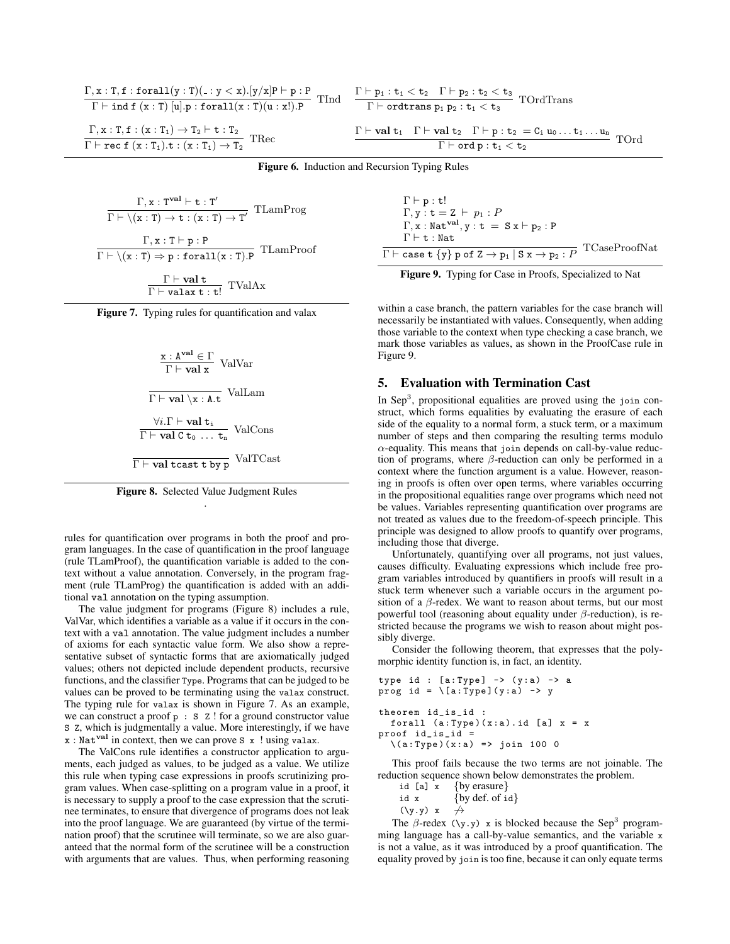$$
\begin{aligned} &\frac{\Gamma,x:T,f: \texttt{forall}(y:T)(\texttt{.}: y < x).[y/x] \texttt{P} \vdash p : \texttt{P}}{\Gamma \vdash \texttt{ind} \ f\ (x:T) \ [\texttt{u}].p: \texttt{forall}(x:T)(\texttt{u} : x!).\texttt{P}} \ \ \text{TInd} \\ &\frac{\Gamma,x:T,f:(x:T_1) \rightarrow T_2 \vdash \texttt{t} : T_2}{\Gamma \vdash \texttt{rec} \ f\ (x:T_1). \texttt{t} : (x:T_1) \rightarrow T_2} \ \ \text{Thec} \end{aligned}
$$

$$
\begin{aligned} &\frac{\Gamma\vdash p_1:t_1
$$

Figure 6. Induction and Recursion Typing Rules

$$
\frac{\Gamma, x: T^{\text{val}} \vdash t: T'}{\Gamma \vdash \langle x: T \rangle \rightarrow t: (x: T) \rightarrow T'} \text{TLamProg}
$$
\n
$$
\frac{\Gamma, x: T \vdash p: P}{\Gamma \vdash \langle x: T \rangle \Rightarrow p: \text{forall}(x: T).P} \text{TLamProof}
$$
\n
$$
\frac{\Gamma \vdash \text{val} \cdot t}{\Gamma \vdash \text{valax} \cdot t: t!} \text{TValAx}
$$

Figure 7. Typing rules for quantification and valax

$$
\frac{x : Aval \in \Gamma}{\Gamma \vdash val x} \text{ ValVar}
$$
\n
$$
\frac{\nabla \cdot \text{Val} \times A \cdot t}{\Gamma \vdash val \times A \cdot t} \text{ ValLam}
$$
\n
$$
\frac{\forall i. \Gamma \vdash val \, t_i}{\Gamma \vdash val \, C \, t_0 \, \dots \, t_n} \text{ ValCons}
$$
\n
$$
\frac{\nabla \cdot \text{Val} \, \text{Val} \, \text{Val} \, \text{Val} \, \text{Val} \, \text{Val} \, \text{Val} \, \text{Val} \, \text{Val} \, \text{Val} \, \text{Val} \, \text{Val} \, \text{Val} \, \text{Val} \, \text{Val} \, \text{Val} \, \text{Val} \, \text{Val} \, \text{Val} \, \text{Val} \, \text{Val} \, \text{Val} \, \text{Val} \, \text{Val} \, \text{Val} \, \text{Val} \, \text{Val} \, \text{Val} \, \text{Val} \, \text{Val} \, \text{Val} \, \text{Val} \, \text{Val} \, \text{Val} \, \text{Val} \, \text{Val} \, \text{Val} \, \text{Val} \, \text{Val} \, \text{Val} \, \text{Val} \, \text{Val} \, \text{Val} \, \text{Val} \, \text{Val} \, \text{Val} \, \text{Val} \, \text{Val} \, \text{Val} \, \text{Val} \, \text{Val} \, \text{Val} \, \text{Val} \, \text{Val} \, \text{Val} \, \text{Val} \, \text{Val} \, \text{Val} \, \text{Val} \, \text{Val} \, \text{Val} \, \text{Val} \, \text{Val} \, \text{Val} \, \text{Val} \, \text{Val} \, \text{Val} \, \text{Val} \, \text{Val} \, \text{Val} \, \text{Val} \, \text{Val} \, \text{Val} \, \text{Val} \, \text{Val} \, \text{Val} \, \text{Val} \, \text{Val} \, \text{Val} \, \text{Val} \, \text{Val} \, \text{Val} \, \text{Val} \, \text{Val} \, \text{Val} \, \text{Val} \, \text{Val} \, \text
$$



rules for quantification over programs in both the proof and program languages. In the case of quantification in the proof language (rule TLamProof), the quantification variable is added to the context without a value annotation. Conversely, in the program fragment (rule TLamProg) the quantification is added with an additional val annotation on the typing assumption.

The value judgment for programs (Figure 8) includes a rule, ValVar, which identifies a variable as a value if it occurs in the context with a val annotation. The value judgment includes a number of axioms for each syntactic value form. We also show a representative subset of syntactic forms that are axiomatically judged values; others not depicted include dependent products, recursive functions, and the classifier Type. Programs that can be judged to be values can be proved to be terminating using the valax construct. The typing rule for valax is shown in Figure 7. As an example, we can construct a proof  $p : S \text{ } Z$  ! for a ground constructor value S Z, which is judgmentally a value. More interestingly, if we have  $x : Nat<sup>val</sup>$  in context, then we can prove S  $x$  ! using valax.

The ValCons rule identifies a constructor application to arguments, each judged as values, to be judged as a value. We utilize this rule when typing case expressions in proofs scrutinizing program values. When case-splitting on a program value in a proof, it is necessary to supply a proof to the case expression that the scrutinee terminates, to ensure that divergence of programs does not leak into the proof language. We are guaranteed (by virtue of the termination proof) that the scrutinee will terminate, so we are also guaranteed that the normal form of the scrutinee will be a construction with arguments that are values. Thus, when performing reasoning

| $\Gamma \vdash p : t!$                                                                                                                            |               |
|---------------------------------------------------------------------------------------------------------------------------------------------------|---------------|
| $\Gamma, \mathbf{y} : \mathbf{t} = \mathbf{Z} \vdash p_1 : P$                                                                                     |               |
| $\Gamma, x : \text{Nat}^{\text{val}}, y : t = S x \vdash p_2 : P$                                                                                 |               |
| $\Gamma \vdash t : Nat$                                                                                                                           |               |
| $\Gamma\vdash$ case $\texttt{t}$ {y} $\texttt{p}$ of $\texttt{Z}\rightarrow\texttt{p}_1$   $\texttt{S}$ $\texttt{x}\rightarrow\texttt{p}_2$ : $P$ | TCaseProofNat |



within a case branch, the pattern variables for the case branch will necessarily be instantiated with values. Consequently, when adding those variable to the context when type checking a case branch, we mark those variables as values, as shown in the ProofCase rule in Figure 9.

#### 5. Evaluation with Termination Cast

In Sep<sup>3</sup>, propositional equalities are proved using the join construct, which forms equalities by evaluating the erasure of each side of the equality to a normal form, a stuck term, or a maximum number of steps and then comparing the resulting terms modulo  $\alpha$ -equality. This means that join depends on call-by-value reduction of programs, where  $\beta$ -reduction can only be performed in a context where the function argument is a value. However, reasoning in proofs is often over open terms, where variables occurring in the propositional equalities range over programs which need not be values. Variables representing quantification over programs are not treated as values due to the freedom-of-speech principle. This principle was designed to allow proofs to quantify over programs, including those that diverge.

Unfortunately, quantifying over all programs, not just values, causes difficulty. Evaluating expressions which include free program variables introduced by quantifiers in proofs will result in a stuck term whenever such a variable occurs in the argument position of a  $\beta$ -redex. We want to reason about terms, but our most powerful tool (reasoning about equality under  $\beta$ -reduction), is restricted because the programs we wish to reason about might possibly diverge.

Consider the following theorem, that expresses that the polymorphic identity function is, in fact, an identity.

```
type id : [a:Type] \rightarrow (y:a) \rightarrow aprog id = \{a: Type\}(y : a) \rightarrow ytheorem id_is_id :
  forall (a: Type)(x:a). id [a] x = xproof id_is_id =
  \{(a: Type) (x : a) \implies join 100 0
```
This proof fails because the two terms are not joinable. The reduction sequence shown below demonstrates the problem.

id [a]  $x \{by erasure\}$ id x  $\{by def. of id\}$  $(\forall y. y) \quad x \quad \n\rightarrow$ 

The  $\beta$ -redex (\y.y) x is blocked because the Sep<sup>3</sup> programming language has a call-by-value semantics, and the variable x is not a value, as it was introduced by a proof quantification. The equality proved by join is too fine, because it can only equate terms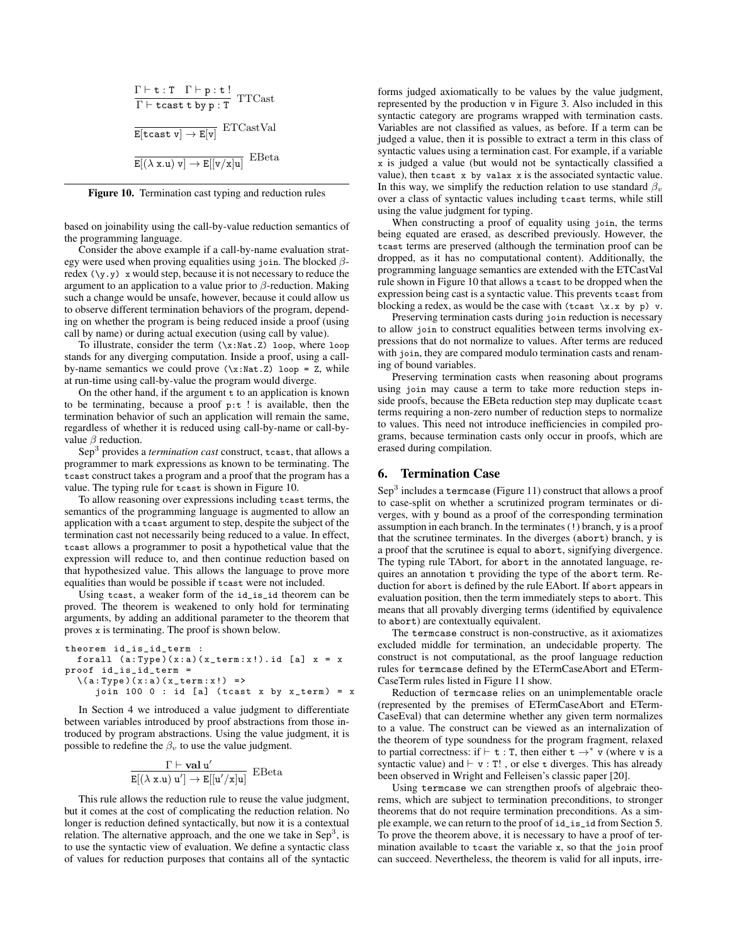$$
\frac{\Gamma \vdash t : T \quad \Gamma \vdash p : t !}{\Gamma \vdash \texttt{least} \ t \ by \ p : T} \quad \texttt{TTCast}
$$
\n
$$
\frac{}{\texttt{E}[ \texttt{tax} \ v] \rightarrow \texttt{E}[v]} \quad \texttt{ETCastVal}
$$
\n
$$
\frac{}{\texttt{E}[(\lambda \ x.u) \ v] \rightarrow \texttt{E}[[v/x]u]} \quad \texttt{EBeta}
$$

Figure 10. Termination cast typing and reduction rules

based on joinability using the call-by-value reduction semantics of the programming language.

Consider the above example if a call-by-name evaluation strategy were used when proving equalities using join. The blocked  $\beta$ redex  $(\forall y \cdot y)$  x would step, because it is not necessary to reduce the argument to an application to a value prior to  $\beta$ -reduction. Making such a change would be unsafe, however, because it could allow us to observe different termination behaviors of the program, depending on whether the program is being reduced inside a proof (using call by name) or during actual execution (using call by value).

To illustrate, consider the term  $(\x:Nat.Z)$  loop, where loop stands for any diverging computation. Inside a proof, using a callby-name semantics we could prove  $(\x : Nat. Z)$  loop = Z, while at run-time using call-by-value the program would diverge.

On the other hand, if the argument  $t$  to an application is known to be terminating, because a proof  $p:t$ ! is available, then the termination behavior of such an application will remain the same, regardless of whether it is reduced using call-by-name or call-byvalue  $\beta$  reduction.

Sep<sup>3</sup> provides a *termination cast* construct, tcast, that allows a programmer to mark expressions as known to be terminating. The tcast construct takes a program and a proof that the program has a value. The typing rule for tcast is shown in Figure 10.

To allow reasoning over expressions including tcast terms, the semantics of the programming language is augmented to allow an application with a tcast argument to step, despite the subject of the termination cast not necessarily being reduced to a value. In effect, tcast allows a programmer to posit a hypothetical value that the expression will reduce to, and then continue reduction based on that hypothesized value. This allows the language to prove more equalities than would be possible if tcast were not included.

Using tcast, a weaker form of the id\_is\_id theorem can be proved. The theorem is weakened to only hold for terminating arguments, by adding an additional parameter to the theorem that proves x is terminating. The proof is shown below.

```
theorem id_is_id_term :
  forall (a: Type) (x:a) (x_term:x!). id [a] x = xproof id_is_id_term =
  \ (a: Type) (x : a) (x_t term : x!) =>
     join 100 0 : id [a] (tcast x by x_term) = x
```
In Section 4 we introduced a value judgment to differentiate between variables introduced by proof abstractions from those introduced by program abstractions. Using the value judgment, it is possible to redefine the  $\beta_v$  to use the value judgment.

$$
\frac{\Gamma\vdash \mathbf{val}\ u'}{E[(\lambda\ \texttt{x}.u)\ u']\rightarrow E[[u'/x]u]}\ \mathrm{EBeta}
$$

This rule allows the reduction rule to reuse the value judgment, but it comes at the cost of complicating the reduction relation. No longer is reduction defined syntactically, but now it is a contextual relation. The alternative approach, and the one we take in Sep<sup>3</sup>, is to use the syntactic view of evaluation. We define a syntactic class of values for reduction purposes that contains all of the syntactic forms judged axiomatically to be values by the value judgment, represented by the production v in Figure 3. Also included in this syntactic category are programs wrapped with termination casts. Variables are not classified as values, as before. If a term can be judged a value, then it is possible to extract a term in this class of syntactic values using a termination cast. For example, if a variable x is judged a value (but would not be syntactically classified a value), then tcast x by valax x is the associated syntactic value. In this way, we simplify the reduction relation to use standard  $\beta_v$ over a class of syntactic values including tcast terms, while still using the value judgment for typing.

When constructing a proof of equality using join, the terms being equated are erased, as described previously. However, the tcast terms are preserved (although the termination proof can be dropped, as it has no computational content). Additionally, the programming language semantics are extended with the ETCastVal rule shown in Figure 10 that allows a tcast to be dropped when the expression being cast is a syntactic value. This prevents tcast from blocking a redex, as would be the case with (tcast  $\x.x$  by p) v.

Preserving termination casts during join reduction is necessary to allow join to construct equalities between terms involving expressions that do not normalize to values. After terms are reduced with join, they are compared modulo termination casts and renaming of bound variables.

Preserving termination casts when reasoning about programs using join may cause a term to take more reduction steps inside proofs, because the EBeta reduction step may duplicate tcast terms requiring a non-zero number of reduction steps to normalize to values. This need not introduce inefficiencies in compiled programs, because termination casts only occur in proofs, which are erased during compilation.

#### 6. Termination Case

 $Sep<sup>3</sup>$  includes a termcase (Figure 11) construct that allows a proof to case-split on whether a scrutinized program terminates or diverges, with y bound as a proof of the corresponding termination assumption in each branch. In the terminates (!) branch, y is a proof that the scrutinee terminates. In the diverges (abort) branch, y is a proof that the scrutinee is equal to abort, signifying divergence. The typing rule TAbort, for abort in the annotated language, requires an annotation t providing the type of the abort term. Reduction for abort is defined by the rule EAbort. If abort appears in evaluation position, then the term immediately steps to abort. This means that all provably diverging terms (identified by equivalence to abort) are contextually equivalent.

The termcase construct is non-constructive, as it axiomatizes excluded middle for termination, an undecidable property. The construct is not computational, as the proof language reduction rules for termcase defined by the ETermCaseAbort and ETerm-CaseTerm rules listed in Figure 11 show.

Reduction of termcase relies on an unimplementable oracle (represented by the premises of ETermCaseAbort and ETerm-CaseEval) that can determine whether any given term normalizes to a value. The construct can be viewed as an internalization of the theorem of type soundness for the program fragment, relaxed to partial correctness: if  $\vdash$  t : T, then either t  $\rightarrow^*$  v (where v is a syntactic value) and  $\vdash$  v : T!, or else t diverges. This has already been observed in Wright and Felleisen's classic paper [20].

Using termcase we can strengthen proofs of algebraic theorems, which are subject to termination preconditions, to stronger theorems that do not require termination preconditions. As a simple example, we can return to the proof of id\_is\_id from Section 5. To prove the theorem above, it is necessary to have a proof of termination available to tcast the variable x, so that the join proof can succeed. Nevertheless, the theorem is valid for all inputs, irre-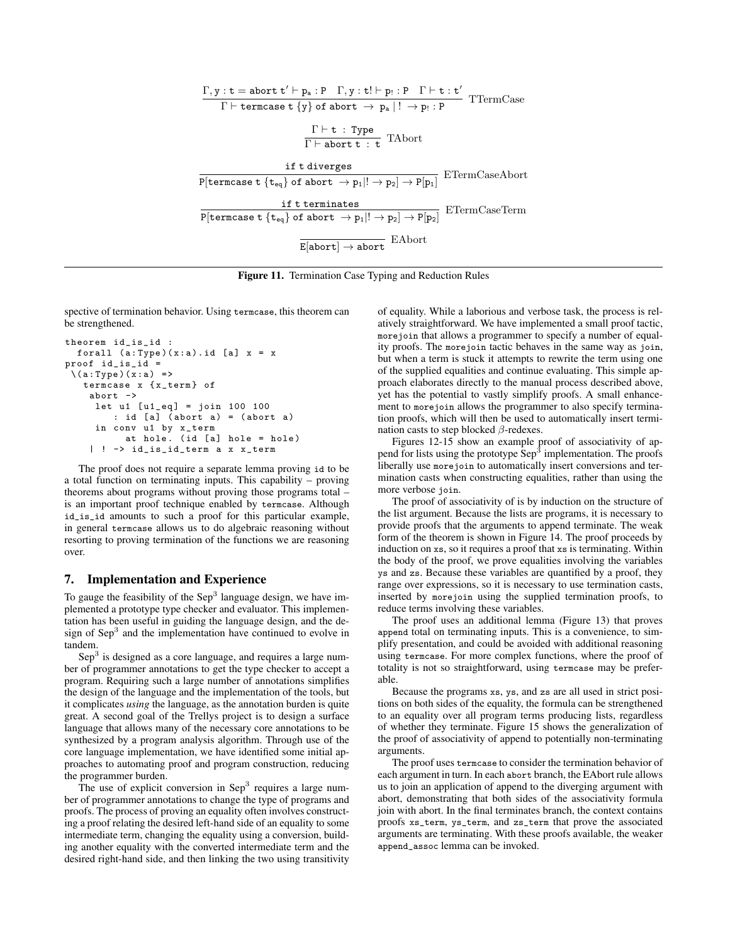

Figure 11. Termination Case Typing and Reduction Rules

spective of termination behavior. Using termcase, this theorem can be strengthened.

```
theorem id_is_id :
  forall (a: Type)(x:a). id [a] x = xproof id_is_id =
 \setminus(a: Type)(x: a) =>
   termcase x { x_term } of
    abort ->
     let u1 [u1_eq] = join 100 100
        : id [a] ( abort a) = ( abort a)
     in conv u1 by x_term
          at hole. (id [a] hole = hole)
    | ! -> id_is_id_term a x x_term
```
The proof does not require a separate lemma proving id to be a total function on terminating inputs. This capability – proving theorems about programs without proving those programs total – is an important proof technique enabled by termcase. Although id\_is\_id amounts to such a proof for this particular example, in general termcase allows us to do algebraic reasoning without resorting to proving termination of the functions we are reasoning over.

# 7. Implementation and Experience

To gauge the feasibility of the Sep<sup>3</sup> language design, we have implemented a prototype type checker and evaluator. This implementation has been useful in guiding the language design, and the design of Sep<sup>3</sup> and the implementation have continued to evolve in tandem.

Sep<sup>3</sup> is designed as a core language, and requires a large number of programmer annotations to get the type checker to accept a program. Requiring such a large number of annotations simplifies the design of the language and the implementation of the tools, but it complicates *using* the language, as the annotation burden is quite great. A second goal of the Trellys project is to design a surface language that allows many of the necessary core annotations to be synthesized by a program analysis algorithm. Through use of the core language implementation, we have identified some initial approaches to automating proof and program construction, reducing the programmer burden.

The use of explicit conversion in  $\text{Sep}^3$  requires a large number of programmer annotations to change the type of programs and proofs. The process of proving an equality often involves constructing a proof relating the desired left-hand side of an equality to some intermediate term, changing the equality using a conversion, building another equality with the converted intermediate term and the desired right-hand side, and then linking the two using transitivity

of equality. While a laborious and verbose task, the process is relatively straightforward. We have implemented a small proof tactic, morejoin that allows a programmer to specify a number of equality proofs. The morejoin tactic behaves in the same way as join, but when a term is stuck it attempts to rewrite the term using one of the supplied equalities and continue evaluating. This simple approach elaborates directly to the manual process described above, yet has the potential to vastly simplify proofs. A small enhancement to morejoin allows the programmer to also specify termination proofs, which will then be used to automatically insert termination casts to step blocked  $\beta$ -redexes.

Figures 12-15 show an example proof of associativity of append for lists using the prototype  $\text{Sep}^3$  implementation. The proofs liberally use morejoin to automatically insert conversions and termination casts when constructing equalities, rather than using the more verbose join.

The proof of associativity of is by induction on the structure of the list argument. Because the lists are programs, it is necessary to provide proofs that the arguments to append terminate. The weak form of the theorem is shown in Figure 14. The proof proceeds by induction on xs, so it requires a proof that xs is terminating. Within the body of the proof, we prove equalities involving the variables ys and zs. Because these variables are quantified by a proof, they range over expressions, so it is necessary to use termination casts, inserted by morejoin using the supplied termination proofs, to reduce terms involving these variables.

The proof uses an additional lemma (Figure 13) that proves append total on terminating inputs. This is a convenience, to simplify presentation, and could be avoided with additional reasoning using termcase. For more complex functions, where the proof of totality is not so straightforward, using termcase may be preferable.

Because the programs xs, ys, and zs are all used in strict positions on both sides of the equality, the formula can be strengthened to an equality over all program terms producing lists, regardless of whether they terminate. Figure 15 shows the generalization of the proof of associativity of append to potentially non-terminating arguments.

The proof uses termcase to consider the termination behavior of each argument in turn. In each abort branch, the EAbort rule allows us to join an application of append to the diverging argument with abort, demonstrating that both sides of the associativity formula join with abort. In the final terminates branch, the context contains proofs xs\_term, ys\_term, and zs\_term that prove the associated arguments are terminating. With these proofs available, the weaker append\_assoc lemma can be invoked.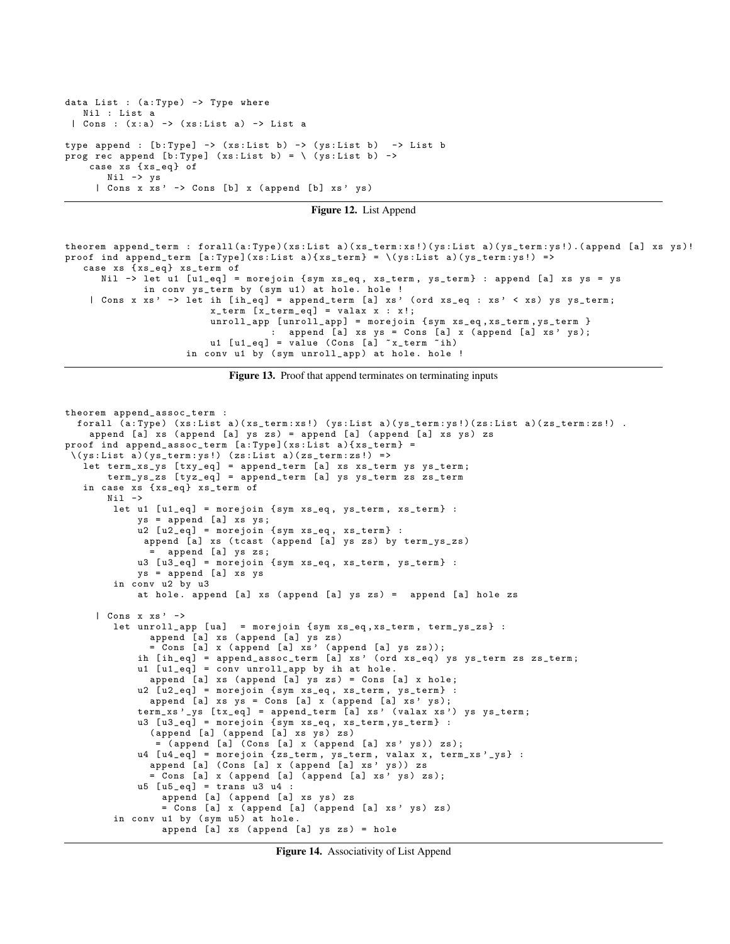```
data List : (a: Type) -> Type where
   Nil : List a
 | Cons : (x: a) -> ( xs : List a) -> List a
type append : [b:Type] -> (xs:List b) -> (ys:List b) -> List b
prog rec append [b: Type] (xs: List b) = \setminus (ys: List b) ->
    case xs {xs_eq} of
       Nil -> ys
     | Cons x xs' -> Cons [b] x (append [b] xs' ys)
```
Figure 12. List Append

```
theorem append_term : forall(a:Type)(xs:List a)(xs_term:xs!)(ys:List a)(ys_term:ys!).(append [a] xs ys)!
proof ind append_term [a:Type](xs:List a) \{xs\_term\} = \setminus (ys:List a) (ys\_term:ys!) =>
   case xs {xs_eq} xs_term of
      Nil -> let u1 [u1_eq] = morejoin { sym xs_eq, xs_term, ys_term} : append [a] xs ys = ys
             in conv ys_term by (sym u1) at hole. hole !
    | Cons x xs' -> let ih [ih_eq] = append_term [a] xs' (ord xs_eq : xs' < xs) ys ys_term;
                         x_term [ x_term_eq ] = valax x : x !;
                         unroll_app [unroll_app] = morejoin {sym xs_eq, xs_term, ys_term }
                                   : append [a] xs ys = Cons [a] x (append [a] xs' ys);
                         u1 [u1_eq] = value (Cons [a] ~x_term ~ih)
                    in conv u1 by (sym unroll_app) at hole. hole !
```
Figure 13. Proof that append terminates on terminating inputs

```
theorem append_assoc_term :
  forall (a:Type) (xs:List a)(xs_term:xs!) (ys:List a)(ys_term:ys!)(zs:List a)(zs_term:zs!).
    append [a] xs ( append [a] ys zs ) = append [a] ( append [a] xs ys ) zs
proof ind append_assoc_term [a:Type](xs:List a){xs_term} =
 \( ys : List a )( ys_term : ys !) ( zs : List a )( zs_term : zs !) = >
   let term_xs_ys [txy_eq] = append_term [a] xs xs_term ys ys_term;
       term_ys_zs [ tyz_eq ] = append_term [a] ys ys_term zs zs_term
   in case xs {xs_eq} xs_term of
       Nil ->
        let u1 [u1_eq] = morejoin {sym xs_eq, ys_term, xs_term} :
            ys = append [a] xs ys;
            u2 [u2_eq] = morejoin {sym xs_eq, xs_term} :
             append [a] xs (tcast (append [a] ys zs) by term_ys_zs)
                .<br>append [a] ys zs;
            u3 [u3_eq] = morejoin { sym xs_eq, xs_term, ys_term} :
            ys = append [a] xs ys
        in conv u2 by u3
            at hole . append [a] xs ( append [a] ys zs ) = append [a] hole zs
     | Cons x xs ' ->
        let unroll_app [ ua ] = morejoin { sym xs_eq, xs_term, term_ys_zs } :
              append [a] xs ( append [a] ys zs )
              = Cons [a] x (append [a] xs' (append [a] ys zs));
            ih [ih_eq] = append_assoc_term [a] xs' (ord xs_eq) ys ys_term zs zs_term;
            u1 [u1_eq] = conv unroll_app by ih at hole.
              append [a] xs (append [a] ys zs) = Cons [a] x hole;
            u2 [u2_eq] = morejoin { sym xs_eq, xs_term, ys_term} :
              append [a] xs ys = Cons [a] x (append [a] xs' ys);
            term_xs'_ys [tx_eq] = append_term [a] xs' (valax xs') ys ys_term;
            u3 [u3_eq] = morejoin { sym xs_eq, xs_term, ys_term } :
              (append [a] (append [a] xs ys) zs)
               = ( append [a] ( Cons [a] x ( append [ a] xs ' ys )) zs );
            u4 [u4_eq] = morejoin {zs_term, ys_term, valax x, term_xs'_ys} :
              append [a] (Cons [a] x (append [a] xs' ys)) zs
              = Cons [a] x (append [a] (append [a] xs' ys) zs);
            u5 [u5<sub>-</sub>eq] = trans u3 u4 :
                append [a] (append [a] xs ys) zs
                = Cons [a] x (append [a] (append [a] xs' ys) zs)
        in conv u1 by (sym u5) at hole.
                 append [a] xs ( append [a] ys zs ) = hole
```
Figure 14. Associativity of List Append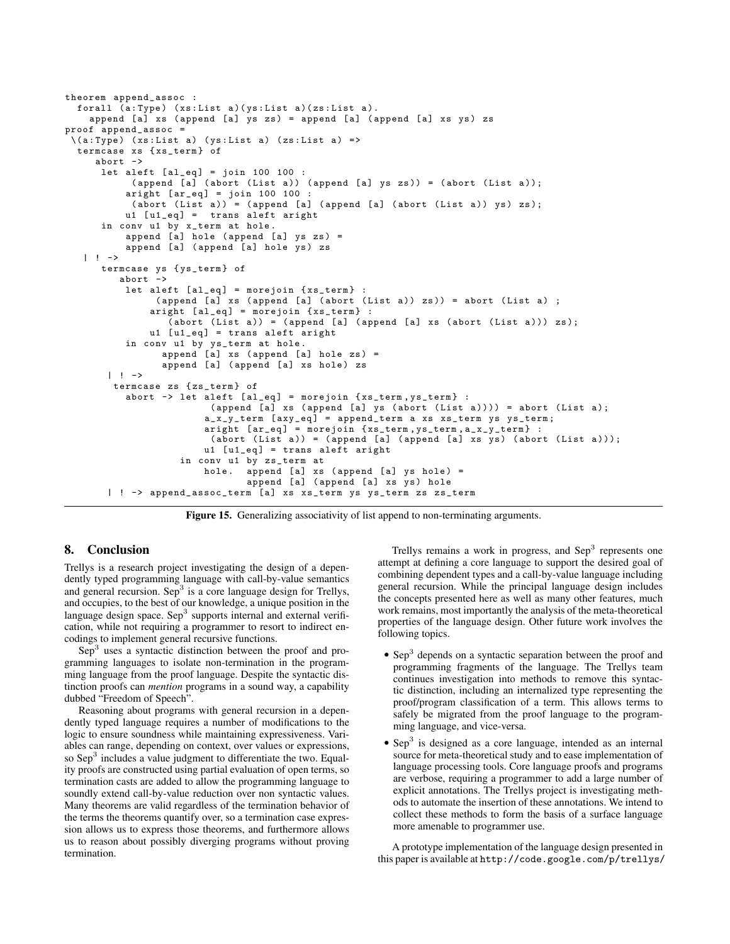```
theorem append_assoc :
  forall (a: Type) (xs:List a)(ys:List a)(zs:List a).
    append [a] xs (append [a] ys zs) = append [a] (append [a] xs ys) zs
proof append_assoc =
 \setminus(a: Type) (xs:List a) (ys:List a) (zs:List a) =>
  termcase xs { xs_term } of
     abort ->
      let aleft [a1_eq] = join 100 100:
            (\text{append } [\text{a}] (\text{abort } (\text{List } \text{a})) (\text{append } [\text{a}] \text{ys } \text{zs}) = (\text{abort } (\text{List } \text{a}));
           aright [ar_eq] = join 100 100(abort (List a)) = (append [a] (append [a] (abort (List a)) ys) zs);u1 [u1_eq] = trans aleft aright
      in conv u1 by x_term at hole .
           append [a] hole (append [a] ys zs) =
           append [a] (append [a] hole ys) zs
   | ! ->
      termcase ys { ys_term } of
          abort ->
           let aleft [a1_eq] = morejoin {xs_term}(\text{append } [\text{a}] xs (append [\text{a}] (abort (List a)) zs)) = abort (List a) ;
                aright [a1_eq] = morejoin {xs_term}:
                   (abort (List a)) = (append [a] (append [a] xs (abort (List a))) zs);
               u1 [u1_eq] = trans aleft aright
           in conv u1 by ys_term at hole .
                  append [a] xs ( append [a] hole zs ) =
                  append [a] (append [a] xs hole) zs
        | 1 - \rightarrowtermcase zs { zs_term } of
           abort \rightarrow let aleft [al_eq] = morejoin {xs_term, ys_term} :
                           (\text{append } [a] xs (\text{append } [a] ys (\text{abort } (List a)))) = abort (List a);
                          a_x_y_y_tterm [axy_eq] = append_term a xs xs_term ys ys_term;
                          aright [ar_eq] = morejoin \{xs\_term, ys\_term, a_x_y_t, term\} :
                           (abort (List a)) = (append [a] (append [a] xs ys) (abort (List a)));
                          u1 [u1<sub>-</sub>eq] = trans aleft aright
                     in conv u1 by zs_term at
                          hole. append [a] xs (append [a] ys hole) =
                                  append [a] (append [a] xs ys) hole
        | ! -> append_assoc_term [a] xs xs_term ys ys_term zs zs_term
```
Figure 15. Generalizing associativity of list append to non-terminating arguments.

## 8. Conclusion

Trellys is a research project investigating the design of a dependently typed programming language with call-by-value semantics and general recursion. Sep<sup>3</sup> is a core language design for Trellys, and occupies, to the best of our knowledge, a unique position in the language design space. Sep<sup>3</sup> supports internal and external verification, while not requiring a programmer to resort to indirect encodings to implement general recursive functions.

Sep<sup>3</sup> uses a syntactic distinction between the proof and programming languages to isolate non-termination in the programming language from the proof language. Despite the syntactic distinction proofs can *mention* programs in a sound way, a capability dubbed "Freedom of Speech".

Reasoning about programs with general recursion in a dependently typed language requires a number of modifications to the logic to ensure soundness while maintaining expressiveness. Variables can range, depending on context, over values or expressions, so Sep<sup>3</sup> includes a value judgment to differentiate the two. Equality proofs are constructed using partial evaluation of open terms, so termination casts are added to allow the programming language to soundly extend call-by-value reduction over non syntactic values. Many theorems are valid regardless of the termination behavior of the terms the theorems quantify over, so a termination case expression allows us to express those theorems, and furthermore allows us to reason about possibly diverging programs without proving termination.

Trellys remains a work in progress, and Sep<sup>3</sup> represents one attempt at defining a core language to support the desired goal of combining dependent types and a call-by-value language including general recursion. While the principal language design includes the concepts presented here as well as many other features, much work remains, most importantly the analysis of the meta-theoretical properties of the language design. Other future work involves the following topics.

- Sep<sup>3</sup> depends on a syntactic separation between the proof and programming fragments of the language. The Trellys team continues investigation into methods to remove this syntactic distinction, including an internalized type representing the proof/program classification of a term. This allows terms to safely be migrated from the proof language to the programming language, and vice-versa.
- $\bullet$  Sep<sup>3</sup> is designed as a core language, intended as an internal source for meta-theoretical study and to ease implementation of language processing tools. Core language proofs and programs are verbose, requiring a programmer to add a large number of explicit annotations. The Trellys project is investigating methods to automate the insertion of these annotations. We intend to collect these methods to form the basis of a surface language more amenable to programmer use.

A prototype implementation of the language design presented in this paper is available at http://code.google.com/p/trellys/